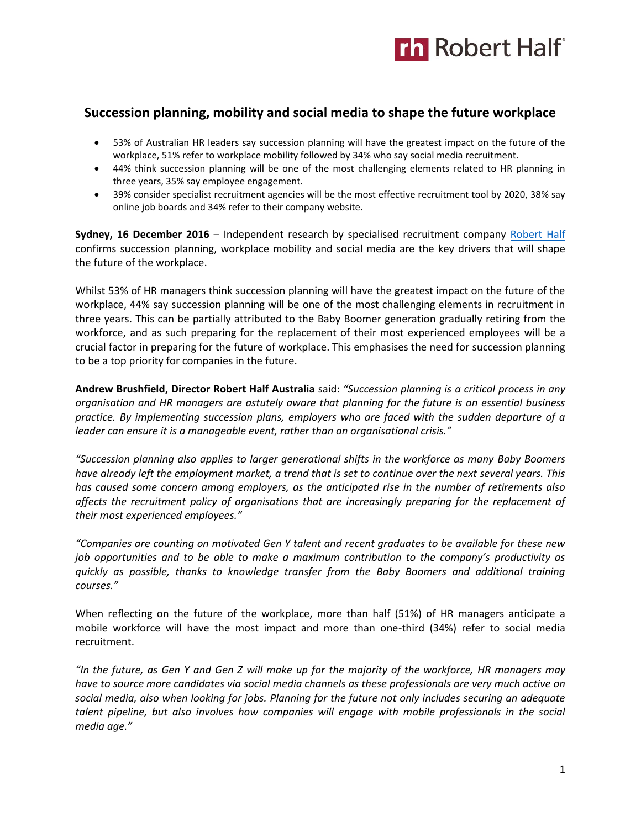

## **Succession planning, mobility and social media to shape the future workplace**

- 53% of Australian HR leaders say succession planning will have the greatest impact on the future of the workplace, 51% refer to workplace mobility followed by 34% who say social media recruitment.
- 44% think succession planning will be one of the most challenging elements related to HR planning in three years, 35% say employee engagement.
- 39% consider specialist recruitment agencies will be the most effective recruitment tool by 2020, 38% say online job boards and 34% refer to their company website.

**Sydney, 16 December 2016** – Independent research by specialised recruitment company [Robert Half](https://www.roberthalf.com.au/?utm_source=roberthalf&utm_medium=pressrelease&utm_campaign=rh-all-nonspecific-dec2016) confirms succession planning, workplace mobility and social media are the key drivers that will shape the future of the workplace.

Whilst 53% of HR managers think succession planning will have the greatest impact on the future of the workplace, 44% say succession planning will be one of the most challenging elements in recruitment in three years. This can be partially attributed to the Baby Boomer generation gradually retiring from the workforce, and as such preparing for the replacement of their most experienced employees will be a crucial factor in preparing for the future of workplace. This emphasises the need for succession planning to be a top priority for companies in the future.

**Andrew Brushfield, Director Robert Half Australia** said: *"Succession planning is a critical process in any organisation and HR managers are astutely aware that planning for the future is an essential business practice. By implementing succession plans, employers who are faced with the sudden departure of a leader can ensure it is a manageable event, rather than an organisational crisis."*

*"Succession planning also applies to larger generational shifts in the workforce as many Baby Boomers have already left the employment market, a trend that is set to continue over the next several years. This has caused some concern among employers, as the anticipated rise in the number of retirements also affects the recruitment policy of organisations that are increasingly preparing for the replacement of their most experienced employees."*

*"Companies are counting on motivated Gen Y talent and recent graduates to be available for these new job opportunities and to be able to make a maximum contribution to the company's productivity as quickly as possible, thanks to knowledge transfer from the Baby Boomers and additional training courses."*

When reflecting on the future of the workplace, more than half (51%) of HR managers anticipate a mobile workforce will have the most impact and more than one-third (34%) refer to social media recruitment.

*"In the future, as Gen Y and Gen Z will make up for the majority of the workforce, HR managers may have to source more candidates via social media channels as these professionals are very much active on social media, also when looking for jobs. Planning for the future not only includes securing an adequate talent pipeline, but also involves how companies will engage with mobile professionals in the social media age."*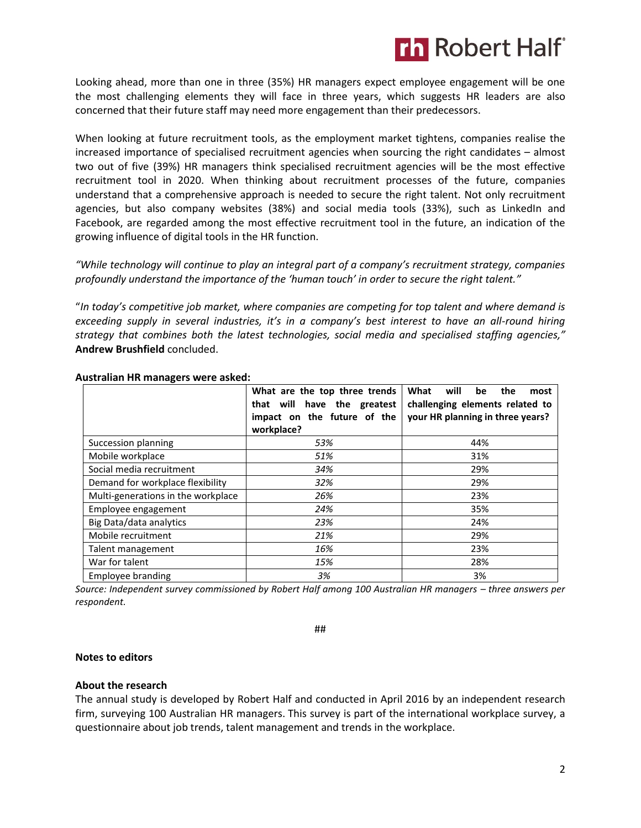

Looking ahead, more than one in three (35%) HR managers expect employee engagement will be one the most challenging elements they will face in three years, which suggests HR leaders are also concerned that their future staff may need more engagement than their predecessors.

When looking at future recruitment tools, as the employment market tightens, companies realise the increased importance of specialised recruitment agencies when sourcing the right candidates – almost two out of five (39%) HR managers think specialised recruitment agencies will be the most effective recruitment tool in 2020. When thinking about recruitment processes of the future, companies understand that a comprehensive approach is needed to secure the right talent. Not only recruitment agencies, but also company websites (38%) and social media tools (33%), such as LinkedIn and Facebook, are regarded among the most effective recruitment tool in the future, an indication of the growing influence of digital tools in the HR function.

*"While technology will continue to play an integral part of a company's recruitment strategy, companies profoundly understand the importance of the 'human touch' in order to secure the right talent."*

"*In today's competitive job market, where companies are competing for top talent and where demand is exceeding supply in several industries, it's in a company's best interest to have an all-round hiring strategy that combines both the latest technologies, social media and specialised staffing agencies,"*  **Andrew Brushfield** concluded.

|                                    | What are the top three trends<br>that will have the greatest<br>impact on the future of the<br>workplace? | What<br>will<br>the<br>be<br>most<br>challenging elements related to<br>your HR planning in three years? |
|------------------------------------|-----------------------------------------------------------------------------------------------------------|----------------------------------------------------------------------------------------------------------|
| Succession planning                | 53%                                                                                                       | 44%                                                                                                      |
| Mobile workplace                   | 51%                                                                                                       | 31%                                                                                                      |
| Social media recruitment           | 34%                                                                                                       | 29%                                                                                                      |
| Demand for workplace flexibility   | 32%                                                                                                       | 29%                                                                                                      |
| Multi-generations in the workplace | 26%                                                                                                       | 23%                                                                                                      |
| Employee engagement                | 24%                                                                                                       | 35%                                                                                                      |
| Big Data/data analytics            | 23%                                                                                                       | 24%                                                                                                      |
| Mobile recruitment                 | 21%                                                                                                       | 29%                                                                                                      |
| Talent management                  | 16%                                                                                                       | 23%                                                                                                      |
| War for talent                     | 15%                                                                                                       | 28%                                                                                                      |
| Employee branding                  | 3%                                                                                                        | 3%                                                                                                       |

#### **Australian HR managers were asked:**

*Source: Independent survey commissioned by Robert Half among 100 Australian HR managers – three answers per respondent.*

##

#### **Notes to editors**

#### **About the research**

The annual study is developed by Robert Half and conducted in April 2016 by an independent research firm, surveying 100 Australian HR managers. This survey is part of the international workplace survey, a questionnaire about job trends, talent management and trends in the workplace.